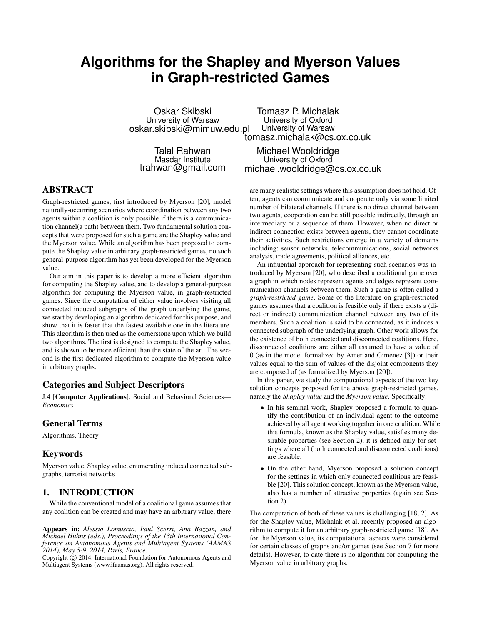# **Algorithms for the Shapley and Myerson Values in Graph-restricted Games**

Oskar Skibski University of Warsaw oskar.skibski@mimuw.edu.pl Tomasz P. Michalak University of Oxford University of Warsaw tomasz.michalak@cs.ox.co.uk

Talal Rahwan Masdar Institute trahwan@gmail.com

Michael Wooldridge University of Oxford michael.wooldridge@cs.ox.co.uk

## ABSTRACT

Graph-restricted games, first introduced by Myerson [20], model naturally-occurring scenarios where coordination between any two agents within a coalition is only possible if there is a communication channel(a path) between them. Two fundamental solution concepts that were proposed for such a game are the Shapley value and the Myerson value. While an algorithm has been proposed to compute the Shapley value in arbitrary graph-restricted games, no such general-purpose algorithm has yet been developed for the Myerson value.

Our aim in this paper is to develop a more efficient algorithm for computing the Shapley value, and to develop a general-purpose algorithm for computing the Myerson value, in graph-restricted games. Since the computation of either value involves visiting all connected induced subgraphs of the graph underlying the game, we start by developing an algorithm dedicated for this purpose, and show that it is faster that the fastest available one in the literature. This algorithm is then used as the cornerstone upon which we build two algorithms. The first is designed to compute the Shapley value, and is shown to be more efficient than the state of the art. The second is the first dedicated algorithm to compute the Myerson value in arbitrary graphs.

### Categories and Subject Descriptors

J.4 [Computer Applications]: Social and Behavioral Sciences— *Economics*

### General Terms

Algorithms, Theory

#### Keywords

Myerson value, Shapley value, enumerating induced connected subgraphs, terrorist networks

### 1. INTRODUCTION

While the conventional model of a coalitional game assumes that any coalition can be created and may have an arbitrary value, there

Appears in: *Alessio Lomuscio, Paul Scerri, Ana Bazzan, and Michael Huhns (eds.), Proceedings of the 13th International Conference on Autonomous Agents and Multiagent Systems (AAMAS 2014), May 5-9, 2014, Paris, France.*

Copyright  $\overline{c}$  2014, International Foundation for Autonomous Agents and Multiagent Systems (www.ifaamas.org). All rights reserved.

are many realistic settings where this assumption does not hold. Often, agents can communicate and cooperate only via some limited number of bilateral channels. If there is no direct channel between two agents, cooperation can be still possible indirectly, through an intermediary or a sequence of them. However, when no direct or indirect connection exists between agents, they cannot coordinate their activities. Such restrictions emerge in a variety of domains including: sensor networks, telecommunications, social networks analysis, trade agreements, political alliances, etc.

An influential approach for representing such scenarios was introduced by Myerson [20], who described a coalitional game over a graph in which nodes represent agents and edges represent communication channels between them. Such a game is often called a *graph-restricted game*. Some of the literature on graph-restricted games assumes that a coalition is feasible only if there exists a (direct or indirect) communication channel between any two of its members. Such a coalition is said to be connected, as it induces a connected subgraph of the underlying graph. Other work allows for the existence of both connected and disconnected coalitions. Here, disconnected coalitions are either all assumed to have a value of 0 (as in the model formalized by Amer and Gimenez [3]) or their values equal to the sum of values of the disjoint components they are composed of (as formalized by Myerson [20]).

In this paper, we study the computational aspects of the two key solution concepts proposed for the above graph-restricted games, namely the *Shapley value* and the *Myerson value*. Specifically:

- In his seminal work, Shapley proposed a formula to quantify the contribution of an individual agent to the outcome achieved by all agent working together in one coalition. While this formula, known as the Shapley value, satisfies many desirable properties (see Section 2), it is defined only for settings where all (both connected and disconnected coalitions) are feasible.
- On the other hand, Myerson proposed a solution concept for the settings in which only connected coalitions are feasible [20]. This solution concept, known as the Myerson value, also has a number of attractive properties (again see Section 2).

The computation of both of these values is challenging [18, 2]. As for the Shapley value, Michalak et al. recently proposed an algorithm to compute it for an arbitrary graph-restricted game [18]. As for the Myerson value, its computational aspects were considered for certain classes of graphs and/or games (see Section 7 for more details). However, to date there is no algorithm for computing the Myerson value in arbitrary graphs.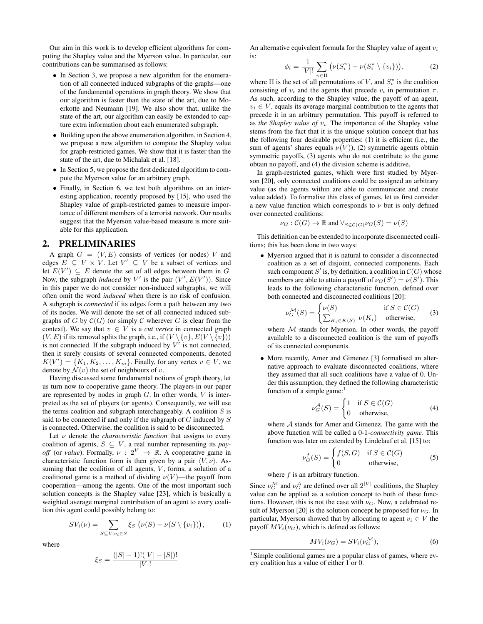Our aim in this work is to develop efficient algorithms for computing the Shapley value and the Myerson value. In particular, our contributions can be summarised as follows:

- In Section 3, we propose a new algorithm for the enumeration of all connected induced subgraphs of the graphs—one of the fundamental operations in graph theory. We show that our algorithm is faster than the state of the art, due to Moerkotte and Neumann [19]. We also show that, unlike the state of the art, our algorithm can easily be extended to capture extra information about each enumerated subgraph.
- Building upon the above enumeration algorithm, in Section 4, we propose a new algorithm to compute the Shapley value for graph-restricted games. We show that it is faster than the state of the art, due to Michalak et al. [18].
- In Section 5, we propose the first dedicated algorithm to compute the Myerson value for an arbitrary graph.
- Finally, in Section 6, we test both algorithms on an interesting application, recently proposed by [15], who used the Shapley value of graph-restricted games to measure importance of different members of a terrorist network. Our results suggest that the Myerson value-based measure is more suitable for this application.

#### 2. PRELIMINARIES

A graph  $G = (V, E)$  consists of vertices (or nodes) V and edges  $E \subseteq V \times V$ . Let  $V' \subseteq V$  be a subset of vertices and let  $E(V') \subseteq E$  denote the set of all edges between them in G. Now, the subgraph *induced* by V' is the pair  $(V', E(V'))$ . Since in this paper we do not consider non-induced subgraphs, we will often omit the word *induced* when there is no risk of confusion. A subgraph is *connected* if its edges form a path between any two of its nodes. We will denote the set of all connected induced subgraphs of G by  $C(G)$  (or simply C wherever G is clear from the context). We say that  $v \in V$  is a *cut vertex* in connected graph  $(V,E)$  if its removal splits the graph, i.e., if  $(V \setminus \{v\}, E(V \setminus \{v\}))$ is not connected. If the subgraph induced by  $V'$  is not connected, then it surely consists of several connected components, denoted  $K(V') = \{K_1, K_2, \ldots, K_m\}$ . Finally, for any vertex  $v \in V$ , we denote by  $\mathcal{N}(v)$  the set of neighbours of v.

Having discussed some fundamental notions of graph theory, let us turn now to cooperative game theory. The players in our paper are represented by nodes in graph  $G$ . In other words,  $V$  is interpreted as the set of players (or agents). Consequently, we will use the terms coalition and subgraph interchangeably. A coalition  $S$  is said to be connected if and only if the subgraph of  $G$  induced by  $S$ is connected. Otherwise, the coalition is said to be disconnected.

Let  $\nu$  denote the *characteristic function* that assigns to every coalition of agents,  $S \subseteq V$ , a real number representing its *payoff* (or *value*). Formally,  $\nu : 2^V \rightarrow \mathbb{R}$ . A cooperative game in characteristic function form is then given by a pair  $\langle V, \nu \rangle$ . Assuming that the coalition of all agents,  $V$ , forms, a solution of a coalitional game is a method of dividing  $\nu(V)$ —the payoff from cooperation—among the agents. One of the most important such solution concepts is the Shapley value [23], which is basically a weighted average marginal contribution of an agent to every coalition this agent could possibly belong to:

$$
SV_i(\nu) = \sum_{S \subseteq V, v_i \in S} \xi_S \left( \nu(S) - \nu(S \setminus \{v_i\}) \right), \tag{1}
$$

where

$$
\xi_S = \frac{(|S| - 1)!(|V| - |S|)!}{|V|!}
$$

An alternative equivalent formula for the Shapley value of agent  $v_i$ is:

$$
\phi_i = \frac{1}{|V|!} \sum_{\pi \in \Pi} \left( \nu(S_i^{\pi}) - \nu(S_i^{\pi} \setminus \{v_i\}) \right), \tag{2}
$$

where  $\Pi$  is the set of all permutations of V, and  $S_i^{\pi}$  is the coalition consisting of  $v_i$  and the agents that precede  $v_i$  in permutation  $\pi$ . As such, according to the Shapley value, the payoff of an agent,  $v_i \in V$ , equals its average marginal contribution to the agents that precede it in an arbitrary permutation. This payoff is referred to as *the Shapley value of*  $v_i$ . The importance of the Shapley value stems from the fact that it is the unique solution concept that has the following four desirable properties: (1) it is efficient (i.e., the sum of agents' shares equals  $\nu(V)$ ), (2) symmetric agents obtain symmetric payoffs, (3) agents who do not contribute to the game obtain no payoff, and (4) the division scheme is additive.

In graph-restricted games, which were first studied by Myerson [20], only connected coalitions could be assigned an arbitrary value (as the agents within are able to communicate and create value added). To formalise this class of games, let us first consider a new value function which corresponds to  $\nu$  but is only defined over connected coalitions:

$$
\nu_G : C(G) \to \mathbb{R}
$$
 and  $\forall_{S \in C(G)} \nu_G(S) = \nu(S)$ 

This definition can be extended to incorporate disconnected coalitions; this has been done in two ways:

• Myerson argued that it is natural to consider a disconnected coalition as a set of disjoint, connected components. Each such component S' is, by definition, a coalition in  $\mathcal{C}(G)$  whose members are able to attain a payoff of  $\nu_G(S') = \nu(S')$ . This leads to the following characteristic function, defined over both connected and disconnected coalitions [20]:

$$
\nu_G^{\mathcal{M}}(S) = \begin{cases} \nu(S) & \text{if } S \in \mathcal{C}(G) \\ \sum_{K_i \in K(S)} \nu(K_i) & \text{otherwise,} \end{cases}
$$
 (3)

where  $M$  stands for Myerson. In other words, the payoff available to a disconnected coalition is the sum of payoffs of its connected components.

• More recently, Amer and Gimenez [3] formalised an alternative approach to evaluate disconnected coalitions, where they assumed that all such coalitions have a value of 0. Under this assumption, they defined the following characteristic function of a simple game: $<sup>1</sup>$ </sup>

$$
\nu_G^{\mathcal{A}}(S) = \begin{cases} 1 & \text{if } S \in \mathcal{C}(G) \\ 0 & \text{otherwise,} \end{cases}
$$
 (4)

where  $A$  stands for Amer and Gimenez. The game with the above function will be called a 0*-*1*-connectivity game*. This function was later on extended by Lindelauf et al. [15] to:

$$
\nu_G^f(S) = \begin{cases} f(S, G) & \text{if } S \in \mathcal{C}(G) \\ 0 & \text{otherwise,} \end{cases}
$$
 (5)

where  $f$  is an arbitrary function.

Since  $\nu_G^{\mathcal{M}}$  and  $\nu_G^{\mathcal{A}}$  are defined over all  $2^{|V|}$  coalitions, the Shapley value can be applied as a solution concept to both of these functions. However, this is not the case with  $\nu$ <sub>G</sub>. Now, a celebrated result of Myerson [20] is the solution concept he proposed for  $\nu_G$ . In particular, Myerson showed that by allocating to agent  $v_i \in V$  the payoff  $MV_i(\nu_G)$ , which is defined as follows:

$$
MV_i(\nu_G) = SV_i(\nu_G^{\mathcal{M}}),\tag{6}
$$

<sup>&</sup>lt;sup>1</sup>Simple coalitional games are a popular class of games, where every coalition has a value of either 1 or 0.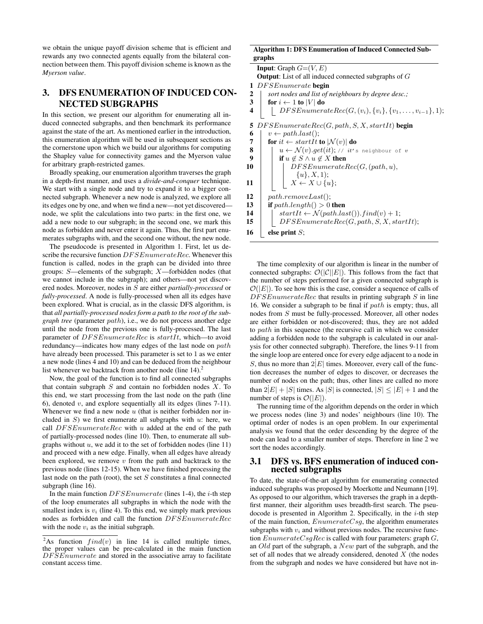we obtain the unique payoff division scheme that is efficient and rewards any two connected agents equally from the bilateral connection between them. This payoff division scheme is known as the *Myerson value*.

## 3. DFS ENUMERATION OF INDUCED CON-NECTED SUBGRAPHS

In this section, we present our algorithm for enumerating all induced connected subgraphs, and then benchmark its performance against the state of the art. As mentioned earlier in the introduction, this enumeration algorithm will be used in subsequent sections as the cornerstone upon which we build our algorithms for computing the Shapley value for connectivity games and the Myerson value for arbitrary graph-restricted games.

Broadly speaking, our enumeration algorithm traverses the graph in a depth-first manner, and uses a *divide-and-conquer* technique. We start with a single node and try to expand it to a bigger connected subgraph. Whenever a new node is analyzed, we explore all its edges one by one, and when we find a new—not yet discovered node, we split the calculations into two parts: in the first one, we add a new node to our subgraph; in the second one, we mark this node as forbidden and never enter it again. Thus, the first part enumerates subgraphs with, and the second one without, the new node.

The pseudocode is presented in Algorithm 1. First, let us describe the recursive function  $DFSE numberateRec$ . Whenever this function is called, nodes in the graph can be divided into three groups: S—elements of the subgraph; X—forbidden nodes (that we cannot include in the subgraph); and others—not yet discovered nodes. Moreover, nodes in S are either *partially-processed* or *fully-processed*. A node is fully-processed when all its edges have been explored. What is crucial, as in the classic DFS algorithm, is that *all partially-processed nodes form a path to the root of the subgraph tree* (parameter path), i.e., we do not process another edge until the node from the previous one is fully-processed. The last parameter of  $DFSEnumerateRec$  is  $startIt$ , which—to avoid redundancy—indicates how many edges of the last node on path have already been processed. This parameter is set to 1 as we enter a new node (lines 4 and 10) and can be deduced from the neighbour list whenever we backtrack from another node (line  $14$ ).<sup>2</sup>

Now, the goal of the function is to find all connected subgraphs that contain subgraph  $S$  and contain no forbidden nodes  $X$ . To this end, we start processing from the last node on the path (line 6), denoted  $v$ , and explore sequentially all its edges (lines 7-11). Whenever we find a new node  $u$  (that is neither forbidden nor included in  $S$ ) we first enumerate all subgraphs with  $u$ : here, we call  $DFSE numeratorRec$  with u added at the end of the path of partially-processed nodes (line 10). Then, to enumerate all subgraphs without  $u$ , we add it to the set of forbidden nodes (line 11) and proceed with a new edge. Finally, when all edges have already been explored, we remove  $v$  from the path and backtrack to the previous node (lines 12-15). When we have finished processing the last node on the path (root), the set  $S$  constitutes a final connected subgraph (line 16).

In the main function  $DFSE$ *numerate* (lines 1-4), the *i*-th step of the loop enumerates all subgraphs in which the node with the smallest index is  $v_i$  (line 4). To this end, we simply mark previous nodes as forbidden and call the function DF SEnumerateRec with the node  $v_i$  as the initial subgraph.

#### Algorithm 1: DFS Enumeration of Induced Connected Subgraphs

|    | <b>Input:</b> Graph $G=(V, E)$                                        |
|----|-----------------------------------------------------------------------|
|    | <b>Output:</b> List of all induced connected subgraphs of $G$         |
| 1  | DFSEnumerate begin                                                    |
| 2  | sort nodes and list of neighbours by degree desc.;                    |
| 3  | for $i \leftarrow 1$ to  V  do                                        |
| 4  | $DFSE numeratorRec(G, (v_i), \{v_i\}, \{v_1, \ldots, v_{i-1}\}, 1);$  |
| 5  | $DFSE numeratorRec(G, path, S, X, startIt)$ begin                     |
| 6  | $v \leftarrow path-last();$                                           |
| 7  | for it $\leftarrow$ startIt to $ \mathcal{N}(v) $ do                  |
| 8  | $u \leftarrow \mathcal{N}(v).get(it); \text{ // } it's neighbor of v$ |
| 9  | if $u \notin S \wedge u \notin X$ then                                |
| 10 | DFSE numberateRec(G, (path, u),                                       |
|    | $\{u\}, X, 1);$                                                       |
| 11 | $X \leftarrow X \cup \{u\};$                                          |
| 12 | path. removeLast();                                                   |
| 13 | <b>if</b> $path.length() > 0$ then                                    |
| 14 | $startIt \leftarrow \mathcal{N}(path last()) . find(v) + 1;$          |
| 15 | $DFSE numeratorRec(G, path, S, X, startIt);$                          |
| 16 | else print $S$ ;                                                      |

The time complexity of our algorithm is linear in the number of connected subgraphs:  $\mathcal{O}(|\mathcal{C}||E|)$ . This follows from the fact that the number of steps performed for a given connected subgraph is  $\mathcal{O}(|E|)$ . To see how this is the case, consider a sequence of calls of  $DFSE$ numerate $Rec$  that results in printing subgraph  $S$  in line 16. We consider a subgraph to be final if  $path$  is empty; thus, all nodes from S must be fully-processed. Moreover, all other nodes are either forbidden or not-discovered; thus, they are not added to path in this sequence (the recursive call in which we consider adding a forbidden node to the subgraph is calculated in our analysis for other connected subgraph). Therefore, the lines 9-11 from the single loop are entered once for every edge adjacent to a node in S, thus no more than  $2|E|$  times. Moreover, every call of the function decreases the number of edges to discover, or decreases the number of nodes on the path; thus, other lines are called no more than  $2|E| + |S|$  times. As |S| is connected,  $|S| \leq |E| + 1$  and the number of steps is  $\mathcal{O}(|E|)$ .

The running time of the algorithm depends on the order in which we process nodes (line 3) and nodes' neighbours (line 10). The optimal order of nodes is an open problem. In our experimental analysis we found that the order descending by the degree of the node can lead to a smaller number of steps. Therefore in line 2 we sort the nodes accordingly.

#### 3.1 DFS vs. BFS enumeration of induced connected subgraphs

To date, the state-of-the-art algorithm for enumerating connected induced subgraphs was proposed by Moerkotte and Neumann [19]. As opposed to our algorithm, which traverses the graph in a depthfirst manner, their algorithm uses breadth-first search. The pseudocode is presented in Algorithm 2. Specifically, in the  $i$ -th step of the main function,  $EnumerateCsg$ , the algorithm enumerates subgraphs with  $v_i$  and without previous nodes. The recursive function  $EnumerateCsgRec$  is called with four parameters: graph  $G$ , an Old part of the subgraph, a New part of the subgraph, and the set of all nodes that we already considered, denoted  $X$  (the nodes from the subgraph and nodes we have considered but have not in-

<sup>&</sup>lt;sup>2</sup>As function  $find(v)$  in line 14 is called multiple times, the proper values can be pre-calculated in the main function  $DFSE$ numerate and stored in the associative array to facilitate constant access time.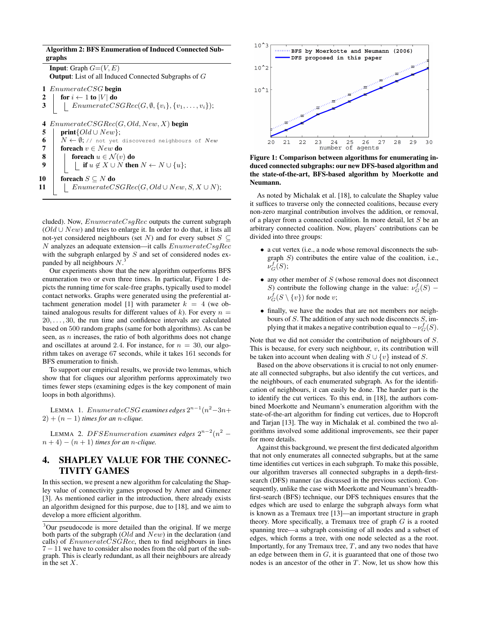## Algorithm 2: BFS Enumeration of Induced Connected Subgraphs **Input:** Graph  $G=(V, E)$ Output: List of all Induced Connected Subgraphs of G 1 EnumerateCSG begin 2 | for  $i \leftarrow 1$  to  $|V|$  do 3 | EnumerateCSGRec $(G, \emptyset, \{v_i\}, \{v_1, \ldots, v_i\});$ 4  $EnumerateCSGRec(G, Old, New, X)$  begin 5 | print $\{Old \cup New\};$ 6  $N \leftarrow \emptyset$ ; // not yet discovered neighbours of New 7<br>7 **foreach**  $v \in New$  **do** 7 foreach  $v \in New$  do<br>8 foreach  $u \in \mathcal{N}(v)$ 8 foreach  $u \in \mathcal{N}(v)$  do<br>9 foreach  $u \in \mathcal{N}(v)$  do if  $u \notin X \cup \overline{N}$  then  $N \leftarrow N \cup \{u\};$ 10 foreach  $S \subseteq N$  do 11 | EnumerateCSGRec(G, Old ∪ New, S, X ∪ N);

cluded). Now,  $EnumerateCsgRec$  outputs the current subgraph  $(Old \cup New)$  and tries to enlarge it. In order to do that, it lists all not-yet considered neighbours (set N) and for every subset  $S \subseteq$  $N$  analyzes an adequate extension—it calls  $EnumerateCsgRec$ with the subgraph enlarged by  $S$  and set of considered nodes expanded by all neighbours  $N$ .<sup>3</sup>

Our experiments show that the new algorithm outperforms BFS enumeration two or even three times. In particular, Figure 1 depicts the running time for scale-free graphs, typically used to model contact networks. Graphs were generated using the preferential attachment generation model [1] with parameter  $k = 4$  (we obtained analogous results for different values of k). For every  $n =$  $20, \ldots, 30$ , the run time and confidence intervals are calculated based on 500 random graphs (same for both algorithms). As can be seen, as  $n$  increases, the ratio of both algorithms does not change and oscillates at around 2.4. For instance, for  $n = 30$ , our algorithm takes on average 67 seconds, while it takes 161 seconds for BFS enumeration to finish.

To support our empirical results, we provide two lemmas, which show that for cliques our algorithm performs approximately two times fewer steps (examining edges is the key component of main loops in both algorithms).

LEMMA 1.  $EnumerateCSG$  examines edges  $2^{n-1}(n^2-3n+1)$  $2) + (n - 1)$  *times for an n-clique.* 

LEMMA 2. DFSEnumeration examines edges  $2^{n-2}(n^2$  $n+4$ ) –  $(n+1)$  *times for an n-clique.* 

## 4. SHAPLEY VALUE FOR THE CONNEC-TIVITY GAMES

In this section, we present a new algorithm for calculating the Shapley value of connectivity games proposed by Amer and Gimenez [3]. As mentioned earlier in the introduction, there already exists an algorithm designed for this purpose, due to [18], and we aim to develop a more efficient algorithm.



Figure 1: Comparison between algorithms for enumerating induced connected subgraphs: our new DFS-based algorithm and the state-of-the-art, BFS-based algorithm by Moerkotte and Neumann.

As noted by Michalak et al. [18], to calculate the Shapley value it suffices to traverse only the connected coalitions, because every non-zero marginal contribution involves the addition, or removal, of a player from a connected coalition. In more detail, let S be an arbitrary connected coalition. Now, players' contributions can be divided into three groups:

- a cut vertex (i.e., a node whose removal disconnects the subgraph  $S$ ) contributes the entire value of the coalition, i.e.,  $\tilde{\nu}_G^f(S);$
- $\bullet$  any other member of  $S$  (whose removal does not disconnect S) contribute the following change in the value:  $\nu_G^f(S)$  –  $\nu_G^f(S \setminus \{v\})$  for node  $v$ ;
- finally, we have the nodes that are not members nor neighbours of  $S$ . The addition of any such node disconnects  $S$ , implying that it makes a negative contribution equal to  $-\nu_G^f(S)$ .

Note that we did not consider the contribution of neighbours of S. This is because, for every such neighbour,  $v$ , its contribution will be taken into account when dealing with  $S \cup \{v\}$  instead of S.

Based on the above observations it is crucial to not only enumerate all connected subgraphs, but also identify the cut vertices, and the neighbours, of each enumerated subgraph. As for the identification of neighbours, it can easily be done. The harder part is the to identify the cut vertices. To this end, in [18], the authors combined Moerkotte and Neumann's enumeration algorithm with the state-of-the-art algorithm for finding cut vertices, due to Hopcroft and Tarjan [13]. The way in Michalak et al. combined the two algorithms involved some additional improvements, see their paper for more details.

Against this background, we present the first dedicated algorithm that not only enumerates all connected subgraphs, but at the same time identifies cut vertices in each subgraph. To make this possible, our algorithm traverses all connected subgraphs in a depth-firstsearch (DFS) manner (as discussed in the previous section). Consequently, unlike the case with Moerkotte and Neumann's breadthfirst-search (BFS) technique, our DFS techniques ensures that the edges which are used to enlarge the subgraph always form what is known as a Tremaux tree [13]—an important structure in graph theory. More specifically, a Tremaux tree of graph  $G$  is a rooted spanning tree—a subgraph consisting of all nodes and a subset of edges, which forms a tree, with one node selected as a the root. Importantly, for any Tremaux tree,  $T$ , and any two nodes that have an edge between them in  $G$ , it is guaranteed that one of those two nodes is an ancestor of the other in  $T$ . Now, let us show how this

<sup>&</sup>lt;sup>3</sup>Our pseudocode is more detailed than the original. If we merge both parts of the subgraph  $(Old$  and  $New)$  in the declaration (and calls) of  $EnumerateCSGRec$ , then to find neighbours in lines 7 − 11 we have to consider also nodes from the old part of the subgraph. This is clearly redundant, as all their neighbours are already in the set X.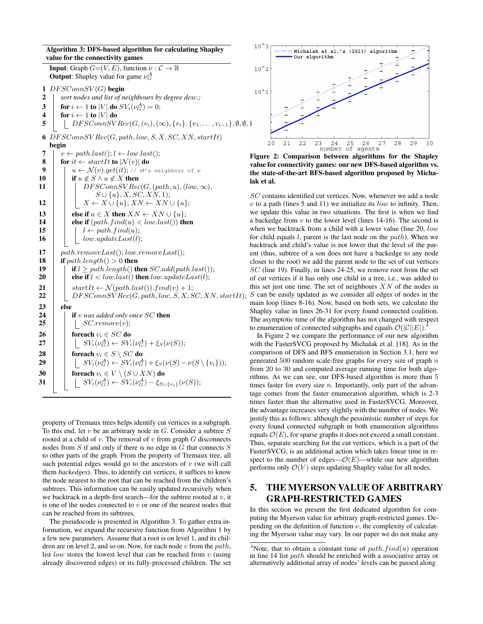Algorithm 3: DFS-based algorithm for calculating Shapley value for the connectivity games **Input:** Graph  $G=(V, E)$ , function  $\nu : \mathcal{C} \to \mathbb{R}$ **Output:** Shapley value for game  $\nu_G^{\mathcal{A}}$ 1  $DFSConnSV(G)$  begin 2 *sort nodes and list of neighbours by degree desc.;* 3  $\parallel$  for  $i \leftarrow 1$  to  $|V|$  do  $SV_i(\nu_G^{\mathcal{A}}) = 0;$ 4  $\int$  for  $i \leftarrow 1$  to  $|V|$  do 5 | DF SConnSV Rec $(G,(v_i),(\infty), \{v_i\}, \{v_1, \ldots, v_{i-1}\}, \emptyset, \emptyset, 1)$ 6  $DFSConnSVRec(G, path, low, S, X, SC, XN, startIt)$ begin 7  $\vert v \leftarrow path-last(); l \leftarrow low-last();$ 8 for  $it \leftarrow startIt$  to  $|\mathcal{N}(v)|$  do 9  $| \t u \leftarrow \mathcal{N}(v).get(it); \text{ } // \t it's neighbor of v$ 10 if  $u \notin S \land u \notin X$  then 11 | |  $DFSConnS VRec(G, (path, u), (low, \infty)),$  $S \cup \{u\}, X, SC, XN, 1);$ 12 | |  $X \leftarrow X \cup \{u\}; XN \leftarrow XN \cup \{u\};$ 13 else if  $u \in X$  then  $XN \leftarrow XN \cup \{u\};$ 14 else if  $(path.find(u) < low-last()$  then 15 | |  $l \leftarrow path.find(u);$ 16 | |  $low.updateLast(l);$ 17  $\parallel$  path.removeLast(); low.removeLast(); 18 if path.length()  $> 0$  then 19 **if**  $l \geq path.length()$  then  $SC.add(path-last());$ 20 else if  $l < low. last()$  then  $low.updateLast(l);$ 21  $\vert$  startIt  $\leftarrow \mathcal{N}(path-last)).find(v) + 1;$ 22 | DF SConnSV Rec(G, path, low, S, X, SC, XN, startIt);  $23$  else 24 **if** v was added only once SC then 25 | |  $SC.remove(v);$ 26  $\parallel$  foreach  $v_i \in SC$  do 27  $\left| \begin{array}{c} | \end{array} \right|$   $\left| \begin{array}{c} SV_i(\nu_G^{\mathcal A}) \leftarrow SV_i(\nu_G^{\mathcal A}) + \xi_S(\nu(S)); \end{array} \right|$ 28 **foreach**  $v_i \in S \setminus SC$  do  $\begin{array}{|c|c|c|c|}\hline \textbf{29} & & SV_i(\nu_G^{\mathcal{A}}) \leftarrow SV_i(\nu_G^{\mathcal{A}}) + \xi_S(\nu(S) - \nu(S \setminus \{v_i\})); \hline \end{array}$ 30 foreach  $v_i \in V \setminus (S \cup XN)$  do 31  $\Big| \Big| \Big| \Big| SN_i(\nu_G^{\mathcal{A}}) \leftarrow SV_i(\nu_G^{\mathcal{A}}) - \xi_{S \cup \{v_i\}}(\nu(S));$ 

property of Tremaux trees helps identify cut vertices in a subgraph. To this end, let  $v$  be an arbitrary node in  $G$ . Consider a subtree  $S$ rooted at a child of  $v$ . The removal of  $v$  from graph  $G$  disconnects nodes from  $S$  if and only if there is no edge in  $G$  that connects  $S$ to other parts of the graph. From the property of Tremaux tree, all such potential edges would go to the ancestors of  $v$  (we will call them *backedges*). Thus, to identify cut vertices, it suffices to know the node nearest to the root that can be reached from the children's subtrees. This information can be easily updated recursively when we backtrack in a depth-first search—for the subtree rooted at  $v$ , it is one of the nodes connected to  $v$  or one of the nearest nodes that can be reached from its subtrees.

The pseudocode is presented in Algorithm 3. To gather extra information, we expand the recursive function from Algorithm 1 by a few new parameters. Assume that a root is on level 1, and its children are on level 2, and so on. Now, for each node  $v$  from the path, list *low* stores the lowest level that can be reached from  $v$  (using already discovered edges) or its fully-processed children. The set



Figure 2: Comparison between algorithms for the Shapley value for connectivity games: our new DFS-based algorithm vs. the state-of-the-art BFS-based algorithm proposed by Michalak et al.

SC contains identified cut vertices. Now, whenever we add a node  $v$  to a path (lines 5 and 11) we initialize its *low* to infinity. Then, we update this value in two situations. The first is when we find a backedge from  $v$  to the lower level (lines 14-16). The second is when we backtrack from a child with a lower value (line 20, low for child equals  $l$ , parent is the last node on the path). When we backtrack and child's value is not lower that the level of the parent (thus, subtree of a son does not have a backedge to any node closer to the root) we add the parent node to the set of cut vertices SC (line 19). Finally, in lines 24-25, we remove root from the set of cut vertices if it has only one child in a tree, i.e., was added to this set just one time. The set of neighbours  $X_N$  of the nodes in  $S$  can be easily updated as we consider all edges of nodes in the main loop (lines 8-16). Now, based on both sets, we calculate the Shapley value in lines 26-31 for every found connected coalition. The asymptotic time of the algorithm has not changed with respect to enumeration of connected subgraphs and equals  $\mathcal{O}(|\mathcal{C}||E|)$ . 4

In Figure 2 we compare the performance of our new algorithm with the FasterSVCG proposed by Michalak et al. [18]. As in the comparison of DFS and BFS enumeration in Section 3.1, here we generated 500 random scale-free graphs for every size of graph  $n$ from 20 to 30 and computed average running time for both algorithms. As we can see, our DFS-based algorithm is more than 5 times faster for every size  $n$ . Importantly, only part of the advantage comes from the faster enumeration algorithm, which is 2-3 times faster than the alternative used in FasterSVCG. Moreover, the advantage increases very slightly with the number of nodes. We justify this as follows: although the pessimistic number of steps for every found connected subgraph in both enumeration algorithms equals  $\mathcal{O}(E)$ , for sparse graphs it does not exceed a small constant. Thus, separate searching for the cut vertices, which is a part of the FasterSVCG, is an additional action which takes linear time in respect to the number of edges— $\mathcal{O}(E)$ —while our new algorithm performs only  $\mathcal{O}(V)$  steps updating Shapley value for all nodes.

## 5. THE MYERSON VALUE OF ARBITRARY GRAPH-RESTRICTED GAMES

In this section we present the first dedicated algorithm for computing the Myerson value for arbitrary graph-restricted games. Depending on the definition of function  $\nu$ , the complexity of calculating the Myerson value may vary. In our paper we do not make any

<sup>&</sup>lt;sup>4</sup>Note, that to obtain a constant time of  $path.find(u)$  operation in line 14 list path should be enriched with a associative array or alternatively additional array of nodes' levels can be passed along.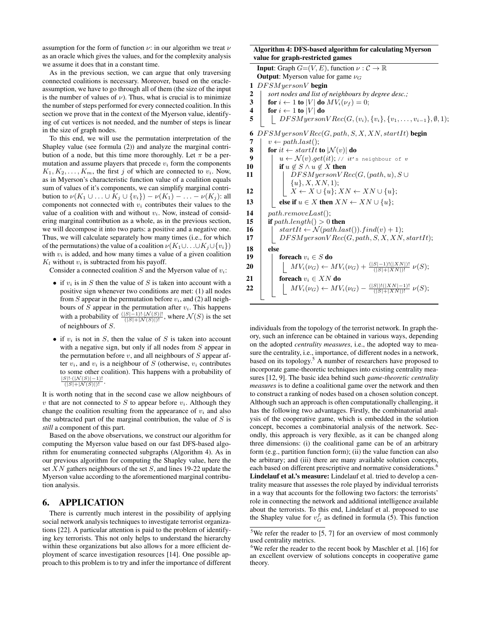assumption for the form of function  $\nu$ : in our algorithm we treat  $\nu$ as an oracle which gives the values, and for the complexity analysis we assume it does that in a constant time.

As in the previous section, we can argue that only traversing connected coalitions is necessary. Moreover, based on the oracleassumption, we have to go through all of them (the size of the input is the number of values of  $\nu$ ). Thus, what is crucial is to minimize the number of steps performed for every connected coalition. In this section we prove that in the context of the Myerson value, identifying of cut vertices is not needed, and the number of steps is linear in the size of graph nodes.

To this end, we will use the permutation interpretation of the Shapley value (see formula (2)) and analyze the marginal contribution of a node, but this time more thoroughly. Let  $\pi$  be a permutation and assume players that precede  $v_i$  form the components  $K_1, K_2, \ldots, K_m$ , the first j of which are connected to  $v_i$ . Now, as in Myerson's characteristic function value of a coalition equals sum of values of it's components, we can simplify marginal contribution to  $\nu(K_1 \cup \ldots \cup K_j \cup \{v_i\}) - \nu(K_1) - \ldots - \nu(K_j)$ : all components not connected with  $v_i$  contributes their values to the value of a coalition with and without  $v_i$ . Now, instead of considering marginal contribution as a whole, as in the previous section, we will decompose it into two parts: a positive and a negative one. Thus, we will calculate separately how many times (i.e., for which of the permutations) the value of a coalition  $\nu(K_1 \cup \ldots \cup K_j \cup \{v_i\})$ with  $v_i$  is added, and how many times a value of a given coalition  $K_l$  without  $v_i$  is subtracted from his payoff.

Consider a connected coalition  $S$  and the Myerson value of  $v_i$ :

- if  $v_i$  is in S then the value of S is taken into account with a positive sign whenever two conditions are met: (1) all nodes from S appear in the permutation before  $v_i$ , and (2) all neighbours of  $S$  appear in the permutation after  $v_i$ . This happens with a probability of  $\frac{(|S|-1)! \cdot |N(S)|!}{(|S|+|N(S)|)!}$ , where  $\mathcal{N}(S)$  is the set of neighbours of S.
- if  $v_i$  is not in S, then the value of S is taken into account with a negative sign, but only if all nodes from S appear in the permutation before  $v$ , and all neighbours of  $S$  appear after  $v_i$ , and  $v_i$  is a neighbour of S (otherwise,  $v_i$  contributes to some other coalition). This happens with a probability of  $\frac{|S|! \cdot (|{\cal N}(S)|-1)!}{(|S|+|{\cal N}(S)|)!}$ .

It is worth noting that in the second case we allow neighbours of v that are not connected to S to appear before  $v_i$ . Although they change the coalition resulting from the appearance of  $v_i$  and also the subtracted part of the marginal contribution, the value of  $S$  is *still* a component of this part.

Based on the above observations, we construct our algorithm for computing the Myerson value based on our fast DFS-based algorithm for enumerating connected subgraphs (Algorithm 4). As in our previous algorithm for computing the Shapley value, here the set XN gathers neighbours of the set S, and lines 19-22 update the Myerson value according to the aforementioned marginal contribution analysis.

## 6. APPLICATION

There is currently much interest in the possibility of applying social network analysis techniques to investigate terrorist organizations [22]. A particular attention is paid to the problem of identifying key terrorists. This not only helps to understand the hierarchy within these organizations but also allows for a more efficient deployment of scarce investigation resources [14]. One possible approach to this problem is to try and infer the importance of different

#### Algorithm 4: DFS-based algorithm for calculating Myerson value for graph-restricted games

|                         | $\mu$ tor gruph restricted guines                                                  |
|-------------------------|------------------------------------------------------------------------------------|
|                         | <b>Input:</b> Graph $G=(V, E)$ , function $\nu : \mathcal{C} \to \mathbb{R}$       |
|                         | <b>Output:</b> Myerson value for game $\nu_G$                                      |
| 1                       | $DFSMyersonV$ begin                                                                |
| $\boldsymbol{2}$        | sort nodes and list of neighbours by degree desc.;                                 |
| 3                       | for $i \leftarrow 1$ to  V  do $MV_i(\nu_f) = 0$ ;                                 |
| $\overline{\mathbf{4}}$ | for $i \leftarrow 1$ to  V  do                                                     |
| 5                       | $DFSMyerson VRec(G, (v_i), {v_i}, {v_1, \ldots, v_{i-1}}, \emptyset, 1);$          |
|                         |                                                                                    |
| 6                       | $DFSMyerson VRec(G, path, S, X, XN, startIt)$ begin                                |
| 7                       | $v \leftarrow path-last$ );                                                        |
| 8                       | for it $\leftarrow$ startIt to $ \mathcal{N}(v) $ do                               |
| 9                       | $u \leftarrow \mathcal{N}(v).get(it); \text{ // } it's neighbor of v$              |
| 10                      | if $u \notin S \land u \notin X$ then                                              |
| 11                      | $DFSMyerson VRec(G, (path, u), S \cup$                                             |
|                         | ${u}, X, XN, 1);$                                                                  |
| 12                      | $X \leftarrow X \cup \{u\}; XN \leftarrow XN \cup \{u\};$                          |
| 13                      | else if $u \in X$ then $XN \leftarrow XN \cup \{u\};$                              |
| 14                      | path. removeLast();                                                                |
| 15                      | if $path.length() > 0$ then                                                        |
| 16                      | $startIt \leftarrow \mathcal{N}(path-last()) \cdot find(v) + 1);$                  |
| 17                      | $DFSMyerson VRec(G, path, S, X, XN, startIt);$                                     |
| 18                      | else                                                                               |
| 19                      | foreach $v_i \in S$ do                                                             |
| 20                      | $MV_i(\nu_G) \leftarrow MV_i(\nu_G) + \frac{( S -1)!( XN )!}{( S + XN )!} \nu(S);$ |
| 21                      | foreach $v_i \in XN$ do                                                            |
| 22                      | $MV_i(\nu_G) \leftarrow MV_i(\nu_G) - \frac{( S )!( XN -1)!}{( S + XN )!} \nu(S);$ |
|                         |                                                                                    |
|                         |                                                                                    |

individuals from the topology of the terrorist network. In graph theory, such an inference can be obtained in various ways, depending on the adopted *centrality measures*, i.e., the adopted way to measure the centrality, i.e., importance, of different nodes in a network, based on its topology.<sup>5</sup> A number of researchers have proposed to incorporate game-theoretic techniques into existing centrality measures [12, 9]. The basic idea behind such *game-theoretic centrality measures* is to define a coalitional game over the network and then to construct a ranking of nodes based on a chosen solution concept. Although such an approach is often computationally challenging, it has the following two advantages. Firstly, the combinatorial analysis of the cooperative game, which is embedded in the solution concept, becomes a combinatorial analysis of the network. Secondly, this approach is very flexible, as it can be changed along three dimensions: (i) the coalitional game can be of an arbitrary form (e.g., partition function form); (ii) the value function can also be arbitrary; and (iii) there are many available solution concepts, each based on different prescriptive and normative considerations.<sup>6</sup> Lindelauf et al.'s measure: Lindelauf et al. tried to develop a centrality measure that assesses the role played by individual terrorists in a way that accounts for the following two factors: the terrorists' role in connecting the network and additional intelligence available about the terrorists. To this end, Lindelauf et al. proposed to use the Shapley value for  $v_G^f$  as defined in formula (5). This function

<sup>&</sup>lt;sup>5</sup>We refer the reader to [5, 7] for an overview of most commonly used centrality metrics.

 $6$ We refer the reader to the recent book by Maschler et al. [16] for an excellent overview of solutions concepts in cooperative game theory.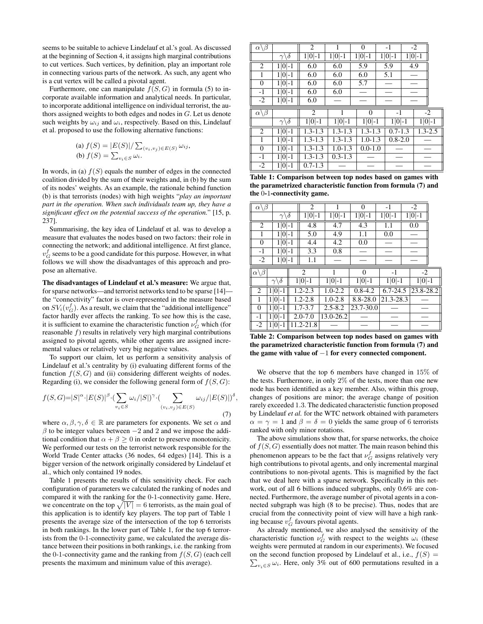seems to be suitable to achieve Lindelauf et al.'s goal. As discussed at the beginning of Section 4, it assigns high marginal contributions to cut vertices. Such vertices, by definition, play an important role in connecting various parts of the network. As such, any agent who is a cut vertex will be called a pivotal agent.

Furthermore, one can manipulate  $f(S, G)$  in formula (5) to incorporate available information and analytical needs. In particular, to incorporate additional intelligence on individual terrorist, the authors assigned weights to both edges and nodes in G. Let us denote such weights by  $\omega_{ij}$  and  $\omega_i$ , respectively. Based on this, Lindelauf et al. proposed to use the following alternative functions:

(a) 
$$
f(S) = |E(S)| / \sum_{(v_i, v_j) \in E(S)} \omega_{ij}
$$
,  
(b)  $f(S) = \sum_{v_i \in S} \omega_i$ .

In words, in (a)  $f(S)$  equals the number of edges in the connected coalition divided by the sum of their weights and, in (b) by the sum of its nodes' weights. As an example, the rationale behind function (b) is that terrorists (nodes) with high weights "*play an important part in the operation. When such individuals team up, they have a significant effect on the potential success of the operation.*" [15, p. 237].

Summarising, the key idea of Lindelauf et al. was to develop a measure that evaluates the nodes based on two factors: their role in connecting the network; and additional intelligence. At first glance,  $v_G^f$  seems to be a good candidate for this purpose. However, in what follows we will show the disadvantages of this approach and propose an alternative.

The disadvantages of Lindelauf et al.'s measure: We argue that, for sparse networks—and terrorist networks tend to be sparse [14] the "connectivity" factor is over-represented in the measure based on  $SV_i(v_G^f)$ . As a result, we claim that the "additional intelligence" factor hardly ever affects the ranking. To see how this is the case, it is sufficient to examine the characteristic function  $\nu_G^f$  which (for reasonable  $f$ ) results in relatively very high marginal contributions assigned to pivotal agents, while other agents are assigned incremental values or relatively very big negative values.

To support our claim, let us perform a sensitivity analysis of Lindelauf et al.'s centrality by (i) evaluating different forms of the function  $f(S, G)$  and (ii) considering different weights of nodes. Regarding (i), we consider the following general form of  $f(S, G)$ :

$$
f(S, G) = |S|^{\alpha} \cdot |E(S)|^{\beta} \cdot \left(\sum_{v_i \in S} \omega_i/|S|\right)^{\gamma} \cdot \left(\sum_{(v_i, v_j) \in E(S)} \omega_{ij}/|E(S)|\right)^{\delta},\tag{7}
$$

where  $\alpha, \beta, \gamma, \delta \in \mathbb{R}$  are parameters for exponents. We set  $\alpha$  and  $\beta$  to be integer values between  $-2$  and 2 and we impose the additional condition that  $\alpha + \beta \geq 0$  in order to preserve monotonicity. We performed our tests on the terrorist network responsible for the World Trade Center attacks (36 nodes, 64 edges) [14]. This is a bigger version of the network originally considered by Lindelauf et al., which only contained 19 nodes.

Table 1 presents the results of this sensitivity check. For each configuration of parameters we calculated the ranking of nodes and compared it with the ranking for the 0-1-connectivity game. Here, we concentrate on the top  $\sqrt{|V|} = 6$  terrorists, as the main goal of this application is to identify key players. The top part of Table 1 presents the average size of the intersection of the top 6 terrorists in both rankings. In the lower part of Table 1, for the top 6 terrorists from the 0-1-connectivity game, we calculated the average distance between their positions in both rankings, i.e. the ranking from the 0-1-connectivity game and the ranking from  $f(S, G)$  (each cell presents the maximum and minimum value of this average).

| $\alpha \backslash \beta$ |                           | 2              |             | $\overline{0}$ | $-1$     |             | $-2$        |
|---------------------------|---------------------------|----------------|-------------|----------------|----------|-------------|-------------|
|                           | $\gamma\backslash \delta$ | $1 0 -1$       | $1 0 -1$    | $1 0 -1$       | $1 0 -1$ |             | $1 0 -1$    |
| 2                         | $1 0 -1$                  | 6.0            | 6.0         | 5.9            |          |             | 4.9         |
| 1                         | $1 0 -1$                  | 6.0            | 6.0         | 6.0            | 5.1      |             |             |
| 0                         | $1 0 -1$                  | 6.0            | 6.0         | 5.7            |          |             |             |
| $-1$                      | $1 0 -1$                  | 6.0            | 6.0         |                |          |             |             |
| $-2$                      | $1 0 -1$                  | 6.0            |             |                |          |             |             |
|                           |                           |                |             |                |          |             |             |
| $\alpha \backslash \beta$ |                           | $\overline{c}$ |             | $\theta$       |          | $-1$        | $-2$        |
|                           | $\gamma\backslash\delta$  | $1 0 -1$       | $1 0 -1$    | $1 0 -1$       |          | $1 0 -1$    | $1 0 -1$    |
| 2                         | $1 0 -1$                  | $1.3 - 1.3$    | $1.3 - 1.3$ | $1.3 - 1.3$    |          | $0.7 - 1.3$ | $1.3 - 2.5$ |
| 1                         | $1 0 -1$                  | $1.3 - 1.3$    | $1.3 - 1.3$ | $1.0 - 1.3$    |          | $0.8 - 2.0$ |             |
| 0                         | $1 0 -1$                  | $1.3 - 1.3$    | $1.0 - 1.3$ | $0.0 - 1.0$    |          |             |             |
| $-1$                      | $1 0 -1$                  | $1.3 - 1.3$    | $0.3 - 1.3$ |                |          |             |             |

Table 1: Comparison between top nodes based on games with the parametrized characteristic function from formula (7) and the 0-1-connectivity game.

| $\alpha \backslash \beta$          |                                |                | $\overline{c}$         |             | 0           | $-1$                | $-2$      |  |
|------------------------------------|--------------------------------|----------------|------------------------|-------------|-------------|---------------------|-----------|--|
|                                    | $\gamma\backslash \delta$      |                | $1 0 -1$               | 1   0   - 1 | $1 0 -1$    | 1   0   - 1         | $1 0 -1$  |  |
| 2                                  | $1 0 -1$                       | 4.8            |                        | 4.7         | 4.3         | 1.1                 | 0.0       |  |
| 1                                  | $1 0 -1$                       |                | 5.0                    | 4.9         | 1.1         | 0.0                 |           |  |
| $\overline{0}$                     | $1 0 -1$                       |                | 4.4                    | 4.2         | 0.0         |                     |           |  |
| $-1$                               | $1 0 -1$                       |                | 3.3                    | 0.8         |             |                     |           |  |
| $-2$                               | $1 0 -1$                       |                | 1.1                    |             |             |                     |           |  |
| $\alpha\backslash\overline{\beta}$ |                                | $\mathfrak{D}$ |                        |             | $\Omega$    | $-1$                | $-2$      |  |
|                                    | $\gamma\backslash\bar{\delta}$ |                | $1 0 -1$               | $1 0 -1$    | $1 0 -1$    | $1 0 \overline{-1}$ | $1 0 -1$  |  |
| 2                                  | $1 0 -1$                       |                | $\overline{1.2} - 2.3$ | $1.0 - 2.2$ | $0.8 - 4.2$ | $6.7 - 24.5$        | 23.8-28.2 |  |
| 1                                  | $1 0 -1$                       |                | $1.2 - 2.8$            | $1.0 - 2.8$ | 8.8-28.0    | $21.3 - 28.3$       |           |  |
| $\Omega$                           | $1 0 -1$                       |                | $1.7 - 3.7$            | $2.5 - 8.2$ | 23.7-30.0   |                     |           |  |
|                                    |                                |                |                        |             |             |                     |           |  |
| $-1$                               | $1 0 -1$                       |                | $2.0 - 7.0$            | 13.0-26.2   |             |                     |           |  |

Table 2: Comparison between top nodes based on games with the parametrized characteristic function from formula (7) and the game with value of −1 for every connected component.

We observe that the top 6 members have changed in 15% of the tests. Furthermore, in only 2% of the tests, more than one new node has been identified as a key member. Also, within this group, changes of positions are minor; the average change of position rarely exceeded 1.3. The dedicated characteristic function proposed by Lindelauf *et al.* for the WTC network obtained with parameters  $\alpha = \gamma = 1$  and  $\beta = \delta = 0$  yields the same group of 6 terrorists ranked with only minor rotations.

The above simulations show that, for sparse networks, the choice of  $f(S, G)$  essentially does not matter. The main reason behind this phenomenon appears to be the fact that  $\nu_G^f$  assigns relatively very high contributions to pivotal agents, and only incremental marginal contributions to non-pivotal agents. This is magnified by the fact that we deal here with a sparse network. Specifically in this network, out of all 6 billions induced subgraphs, only 0.6% are connected. Furthermore, the average number of pivotal agents in a connected subgraph was high (8 to be precise). Thus, nodes that are crucial from the connectivity point of view will have a high ranking because  $v_G^f$  favours pivotal agents.

As already mentioned, we also analysed the sensitivity of the characteristic function  $\nu_G^f$  with respect to the weights  $\omega_i$  (these weights were permuted at random in our experiments). We focused  $\sum_{v_i \in S} \omega_i$ . Here, only 3% out of 600 permutations resulted in a on the second function proposed by Lindelauf et al., i.e.,  $f(S)$  =